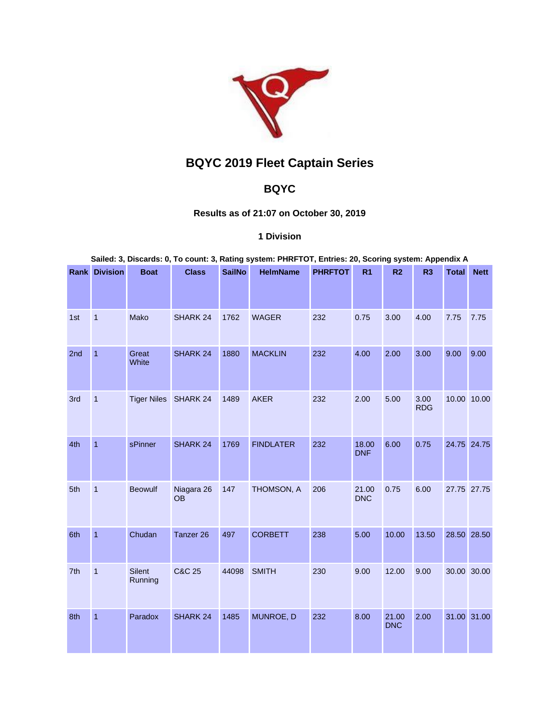

## **BQYC 2019 Fleet Captain Series**

## **BQYC**

## **Results as of 21:07 on October 30, 2019**

## **1 Division**

**Sailed: 3, Discards: 0, To count: 3, Rating system: PHRFTOT, Entries: 20, Scoring system: Appendix A**

|     | <b>Rank Division</b> | <b>Boat</b>       | <b>Class</b>            | <b>SailNo</b> | <b>HelmName</b>  | <b>PHRFTOT</b> | R <sub>1</sub>      | R <sub>2</sub>      | R <sub>3</sub>     | <b>Total</b> | <b>Nett</b> |
|-----|----------------------|-------------------|-------------------------|---------------|------------------|----------------|---------------------|---------------------|--------------------|--------------|-------------|
| 1st | $\overline{1}$       | Mako              | SHARK 24                | 1762          | <b>WAGER</b>     | 232            | 0.75                | 3.00                | 4.00               | 7.75         | 7.75        |
| 2nd | $\overline{1}$       | Great<br>White    | SHARK 24                | 1880          | <b>MACKLIN</b>   | 232            | 4.00                | 2.00                | 3.00               | 9.00         | 9.00        |
| 3rd | $\mathbf{1}$         |                   | Tiger Niles SHARK 24    | 1489          | <b>AKER</b>      | 232            | 2.00                | 5.00                | 3.00<br><b>RDG</b> |              | 10.00 10.00 |
| 4th | $\overline{1}$       | sPinner           | SHARK 24                | 1769          | <b>FINDLATER</b> | 232            | 18.00<br><b>DNF</b> | 6.00                | 0.75               |              | 24.75 24.75 |
| 5th | $\overline{1}$       | <b>Beowulf</b>    | Niagara 26<br><b>OB</b> | 147           | THOMSON, A       | 206            | 21.00<br><b>DNC</b> | 0.75                | 6.00               |              | 27.75 27.75 |
| 6th | $\overline{1}$       | Chudan            | Tanzer 26               | 497           | <b>CORBETT</b>   | 238            | 5.00                | 10.00               | 13.50              |              | 28.50 28.50 |
| 7th | $\mathbf{1}$         | Silent<br>Running | <b>C&amp;C 25</b>       | 44098         | <b>SMITH</b>     | 230            | 9.00                | 12.00               | 9.00               |              | 30.00 30.00 |
| 8th | $\overline{1}$       | Paradox           | SHARK 24                | 1485          | MUNROE, D        | 232            | 8.00                | 21.00<br><b>DNC</b> | 2.00               |              | 31.00 31.00 |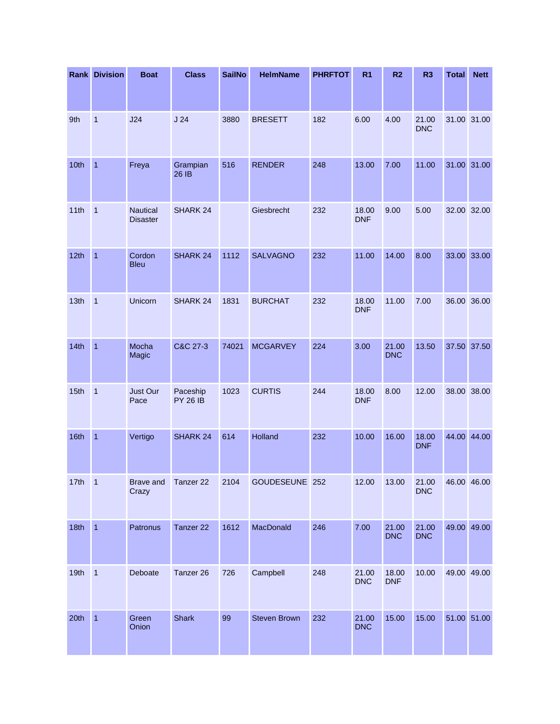|      | <b>Rank Division</b>    | <b>Boat</b>                        | <b>Class</b>                | <b>SailNo</b> | <b>HelmName</b>     | <b>PHRFTOT</b> | R <sub>1</sub>      | R <sub>2</sub>      | R <sub>3</sub>      | <b>Total</b> | <b>Nett</b> |
|------|-------------------------|------------------------------------|-----------------------------|---------------|---------------------|----------------|---------------------|---------------------|---------------------|--------------|-------------|
|      |                         |                                    |                             |               |                     |                |                     |                     |                     |              |             |
| 9th  | 1                       | J24                                | J24                         | 3880          | <b>BRESETT</b>      | 182            | 6.00                | 4.00                | 21.00<br><b>DNC</b> |              | 31.00 31.00 |
| 10th | $\mathbf{1}$            | Freya                              | Grampian<br>$26$ IB         | 516           | <b>RENDER</b>       | 248            | 13.00               | 7.00                | 11.00               |              | 31.00 31.00 |
| 11th | $\mathbf{1}$            | <b>Nautical</b><br><b>Disaster</b> | SHARK 24                    |               | Giesbrecht          | 232            | 18.00<br><b>DNF</b> | 9.00                | 5.00                |              | 32.00 32.00 |
| 12th | $\overline{1}$          | Cordon<br><b>Bleu</b>              | SHARK 24                    | 1112          | <b>SALVAGNO</b>     | 232            | 11.00               | 14.00               | 8.00                |              | 33.00 33.00 |
| 13th | $\overline{\mathbf{1}}$ | Unicorn                            | SHARK 24                    | 1831          | <b>BURCHAT</b>      | 232            | 18.00<br><b>DNF</b> | 11.00               | 7.00                |              | 36.00 36.00 |
| 14th | $\overline{1}$          | Mocha<br>Magic                     | C&C 27-3                    | 74021         | <b>MCGARVEY</b>     | 224            | 3.00                | 21.00<br><b>DNC</b> | 13.50               |              | 37.50 37.50 |
| 15th | $\overline{1}$          | <b>Just Our</b><br>Pace            | Paceship<br><b>PY 26 IB</b> | 1023          | <b>CURTIS</b>       | 244            | 18.00<br><b>DNF</b> | 8.00                | 12.00               |              | 38.00 38.00 |
| 16th | $\overline{1}$          | Vertigo                            | SHARK 24                    | 614           | Holland             | 232            | 10.00               | 16.00               | 18.00<br><b>DNF</b> |              | 44.00 44.00 |
| 17th | $\vert$ 1               | <b>Brave and</b><br>Crazy          | Tanzer 22                   | 2104          | GOUDESEUNE 252      |                | 12.00               | 13.00               | 21.00<br><b>DNC</b> |              | 46.00 46.00 |
| 18th | $\overline{1}$          | Patronus                           | Tanzer 22                   | 1612          | MacDonald           | 246            | 7.00                | 21.00<br><b>DNC</b> | 21.00<br><b>DNC</b> |              | 49.00 49.00 |
| 19th | $\mathbf{1}$            | Deboate                            | Tanzer 26                   | 726           | Campbell            | 248            | 21.00<br><b>DNC</b> | 18.00<br><b>DNF</b> | 10.00               |              | 49.00 49.00 |
| 20th | $\overline{1}$          | Green<br>Onion                     | <b>Shark</b>                | 99            | <b>Steven Brown</b> | 232            | 21.00<br><b>DNC</b> | 15.00               | 15.00               |              | 51.00 51.00 |